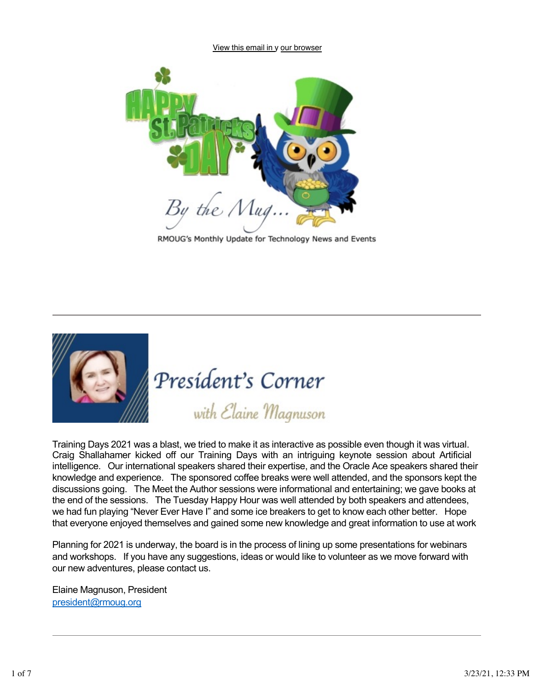View this email in y our browser



RMOUG's Monthly Update for Technology News and Events



President's Corner

with Elaine Magnuson

Training Days 2021 was a blast, we tried to make it as interactive as possible even though it was virtual. Craig Shallahamer kicked off our Training Days with an intriguing keynote session about Artificial intelligence. Our international speakers shared their expertise, and the Oracle Ace speakers shared their knowledge and experience. The sponsored coffee breaks were well attended, and the sponsors kept the discussions going. The Meet the Author sessions were informational and entertaining; we gave books at the end of the sessions. The Tuesday Happy Hour was well attended by both speakers and attendees, we had fun playing "Never Ever Have I" and some ice breakers to get to know each other better. Hope that everyone enjoyed themselves and gained some new knowledge and great information to use at work

Planning for 2021 is underway, the board is in the process of lining up some presentations for webinars and workshops. If you have any suggestions, ideas or would like to volunteer as we move forward with our new adventures, please contact us.

Elaine Magnuson, President [president@rmoug.org](mailto:president@rmoug.org)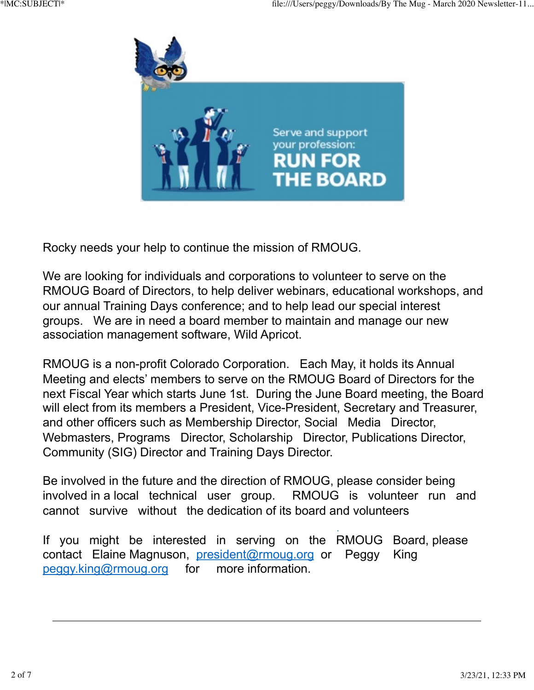

Rocky needs your help to continue the mission of RMOUG.

We are looking for individuals and corporations to volunteer to serve on the RMOUG Board of Directors, to help deliver webinars, educational workshops, and our annual Training Days conference; and to help lead our special interest groups. We are in need a board member to maintain and manage our new association management software, Wild Apricot.

RMOUG is a non-profit Colorado Corporation. Each May, it holds its Annual Meeting and elects' members to serve on the RMOUG Board of Directors for the next Fiscal Year which starts June 1st. During the June Board meeting, the Board will elect from its members a President, Vice-President, Secretary and Treasurer, and other officers such as Membership Director, Social Media Director, Webmasters, Programs Director, Scholarship Director, Publications Director, Community (SIG) Director and Training Days Director.

Be involved in the future and the direction of RMOUG, please consider being involved in a local technical user group. RMOUG is volunteer run and cannot survive without the dedication of its board and volunteers

If you might be interested in serving on the RMOUG Board, please contact Elaine Magnuson, [president@rmoug.org](mailto:president@rmoug.org) or Peggy King [peggy.king@rmoug.org](mailto:peggy.king@rmoug.org) for more information.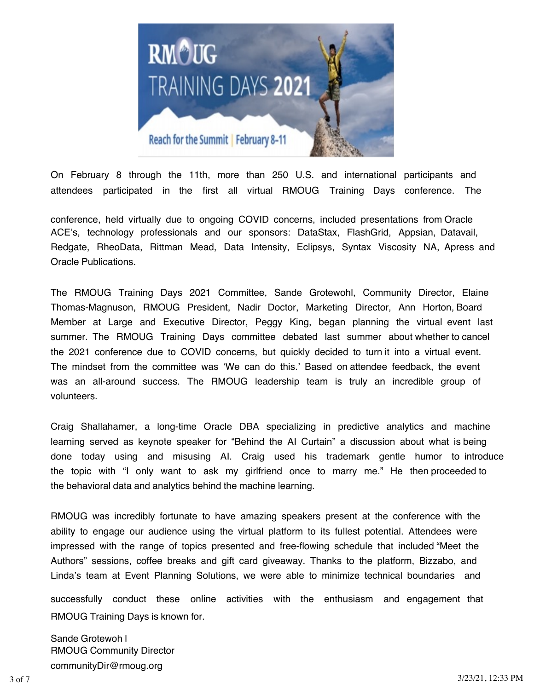

On February 8 through the 11th, more than 250 U.S. and international participants and attendees participated in the first all virtual RMOUG Training Days conference. The

conference, held virtually due to ongoing COVID concerns, included presentations from Oracle ACE's, technology professionals and our sponsors: DataStax, FlashGrid, Appsian, Datavail, Redgate, RheoData, Rittman Mead, Data Intensity, Eclipsys, Syntax Viscosity NA, Apress and Oracle Publications.

The RMOUG Training Days 2021 Committee, Sande Grotewohl, Community Director, Elaine Thomas-Magnuson, RMOUG President, Nadir Doctor, Marketing Director, Ann Horton, Board Member at Large and Executive Director, Peggy King, began planning the virtual event last summer. The RMOUG Training Days committee debated last summer about whether to cancel the 2021 conference due to COVID concerns, but quickly decided to turn it into a virtual event. The mindset from the committee was 'We can do this.' Based on attendee feedback, the event was an all-around success. The RMOUG leadership team is truly an incredible group of volunteers.

Craig Shallahamer, a long-time Oracle DBA specializing in predictive analytics and machine learning served as keynote speaker for "Behind the AI Curtain" a discussion about what is being done today using and misusing AI. Craig used his trademark gentle humor to introduce the topic with "I only want to ask my girlfriend once to marry me." He then proceeded to the behavioral data and analytics behind the machine learning.

RMOUG was incredibly fortunate to have amazing speakers present at the conference with the ability to engage our audience using the virtual platform to its fullest potential. Attendees were impressed with the range of topics presented and free-flowing schedule that included "Meet the Authors" sessions, coffee breaks and gift card giveaway. Thanks to the platform, Bizzabo, and Linda's team at Event Planning Solutions, we were able to minimize technical boundaries and

successfully conduct these online activities with the enthusiasm and engagement that RMOUG Training Days is known for.

Sande Grotewoh l RMOUG Community Director communityDir@rmoug.org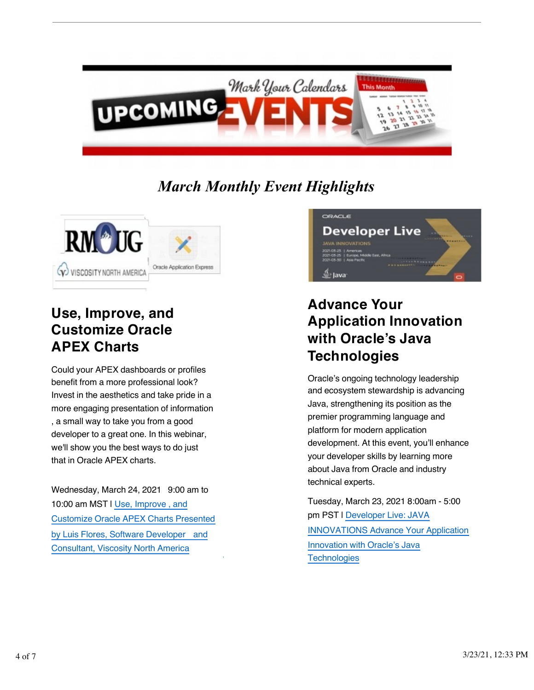

## *March Monthly Event Highlights*



#### **Use, Improve, and Customize Oracle APEX Charts**

Could your APEX dashboards or profiles benefit from a more professional look? Invest in the aesthetics and take pride in a more engaging presentation of information , a small way to take you from a good developer to a great one. In this webinar, we'll show you the best ways to do just that in Oracle APEX charts.

Wednesday, March 24, 2021 9:00 am to 10:00 am MST | [Use, Improve](https://register.gotowebinar.com/register/7677339254475648523?source=rmoug) , and [Customize](https://register.gotowebinar.com/register/7677339254475648523?source=rmoug) Oracle APEX Charts Presented by Luis Flores, Software [Developer](https://register.gotowebinar.com/register/7677339254475648523?source=rmoug) and [Consultant,](https://register.gotowebinar.com/register/7677339254475648523?source=rmoug) Viscosity North America



#### **Advance Your Application Innovation with Oracle's Java Technologies**

Oracle's ongoing technology leadership and ecosystem stewardship is advancing Java, strengthening its position as the premier programming language and platform for modern application development. At this event, you'll enhance your developer skills by learning more about Java from Oracle and industry technical experts.

Tuesday, March 23, 2021 8:00am - 5:00 pm PST | [Developer](https://developer.oracle.com/developer-live/java-innovations/?source=:em:nw:mt::::RC_WWMK210111P00065:ODLJavaInnovations_JavaDeveloperNewsletter&elq_mid=186111&sh=171219131515232514&cmid=WWMK210111P00065) Live: JAVA [INNOVATIONS](https://developer.oracle.com/developer-live/java-innovations/?source=:em:nw:mt::::RC_WWMK210111P00065:ODLJavaInnovations_JavaDeveloperNewsletter&elq_mid=186111&sh=171219131515232514&cmid=WWMK210111P00065) Advance Your Application [Innovation](https://developer.oracle.com/developer-live/java-innovations/?source=:em:nw:mt::::RC_WWMK210111P00065:ODLJavaInnovations_JavaDeveloperNewsletter&elq_mid=186111&sh=171219131515232514&cmid=WWMK210111P00065) with Oracle's Java **[Technologies](https://developer.oracle.com/developer-live/java-innovations/?source=:em:nw:mt::::RC_WWMK210111P00065:ODLJavaInnovations_JavaDeveloperNewsletter&elq_mid=186111&sh=171219131515232514&cmid=WWMK210111P00065)**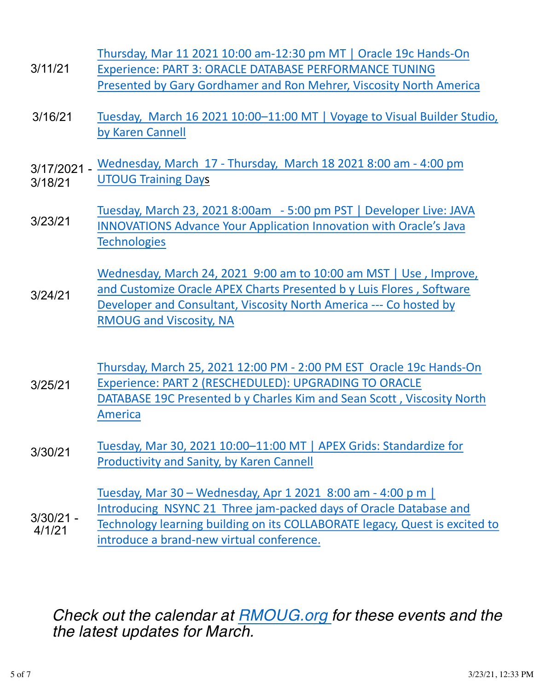- 3/11/21 Thursday, Mar 11 2021 10:00 am-12:30 pm MT | Oracle 19c Hands-On [Experience: PART 3: ORACLE DATABASE PERFORMANCE TUNING](https://register.gotowebinar.com/register/7995479644858088976)  [Presented by Gary Gordhamer and Ron Mehrer, Viscosity North America](https://register.gotowebinar.com/register/7995479644858088976)
- 3/16/21 Tuesday, March 16 [2021 10:00–11:00 MT | Voyage to Visual Builder Studio,](https://register.gotowebinar.com/register/4755214479867735819)  by Karen Cannell
- 3/17/2021 3/18/21 Wednesday, March 17 - Thursday, March 18 2021 8:00 am - 4:00 pm [UTOUG Training Days](https://utoug.org/)
- 3/23/21 Tuesday, March 23, 2021 8:00am - 5:00 pm PST | Developer Live: JAVA [INNOVATIONS Advance Your Application Innovation with Oracle's Java](https://developer.oracle.com/developer-live/java-innovations/?source=:em:nw:mt::::RC_WWMK210111P00065:ODLJavaInnovations_JavaDeveloperNewsletter&elq_mid=186111&sh=171219131515232514&cmid=WWMK210111P00065)  **Technologies**

3/24/21 [Wednesday, March 24, 2021 9:00 am to 10:00 am MST | Use](https://register.gotowebinar.com/register/7677339254475648523?source=rmoug) , Improve, and Customize Oracle APEX Charts Presented b y Luis Flores , Software Developer and Consultant, Viscosity North America --- Co hosted by RMOUG and Viscosity, NA

3/25/21 Thursday, March 25, 2021 12:00 PM - 2:00 PM EST Oracle 19c Hands-On [Experience: PART 2 \(RESCHEDULED\): UPGRADING TO ORACLE](https://register.gotowebinar.com/register/1332501852188733200) DATABASE 19C Presented b [y Charles Kim and Sean Scott](https://register.gotowebinar.com/register/1332501852188733200) , Viscosity North America

3/30/21 [Tuesday, Mar 30, 2021 10:00–11:00 MT | APEX Grids: Standardize for](https://register.gotowebinar.com/register/4177955482122602507) [Productivity and Sanity, by Karen Cannell](https://register.gotowebinar.com/register/4177955482122602507)

3/30/21 - 4/1/21 Tuesday, Mar 30 – Wednesday, Apr 1 2021 8:00 am - 4:00 p m | Introducing NSYNC 21 Three jam-packed days of Oracle Database and [Technology learning building on its COLLABORATE legacy, Quest is excited to](https://questoraclecommunity.org/events/conferences/database-technology-insync/)  introduce a brand-new virtual conference.

### *Check out the calendar at [RMOUG.org](http://www.rmoug.org/) for these events and the the latest updates for March.*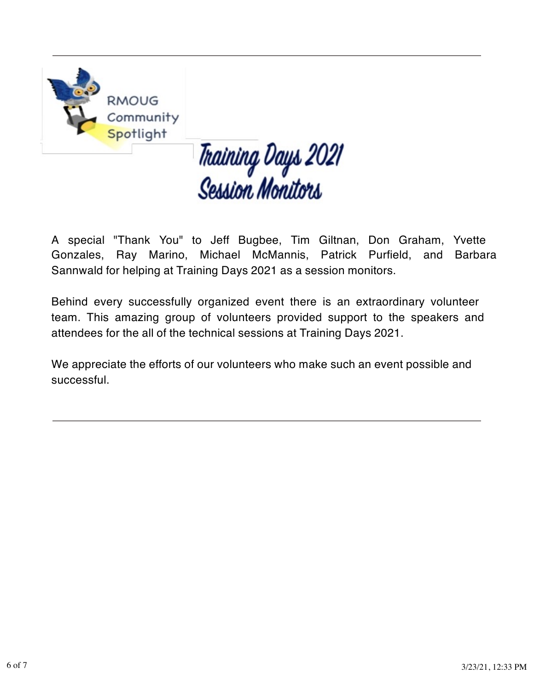

# Thaining Days 2021<br>Session Monitors

A special "Thank You" to Jeff Bugbee, Tim Giltnan, Don Graham, Yvette Gonzales, Ray Marino, Michael McMannis, Patrick Purfield, and Barbara Sannwald for helping at Training Days 2021 as a session monitors.

Behind every successfully organized event there is an extraordinary volunteer team. This amazing group of volunteers provided support to the speakers and attendees for the all of the technical sessions at Training Days 2021.

We appreciate the efforts of our volunteers who make such an event possible and successful.